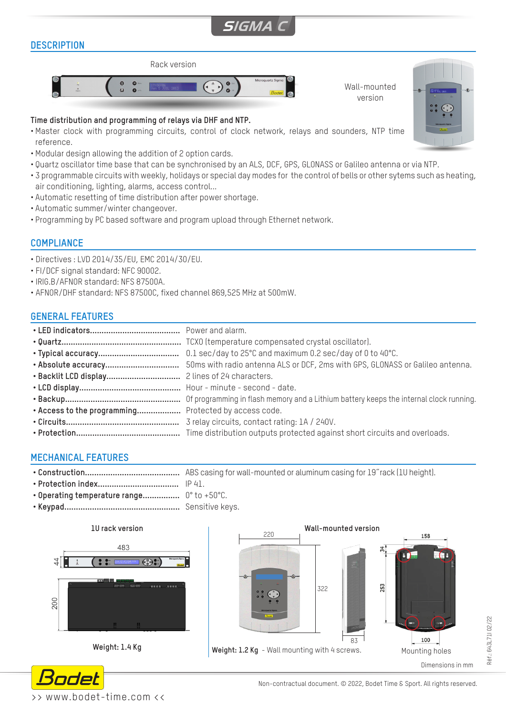# **SIGMA C**

# **DESCRIPTION**



#### **Time distribution and programming of relays via DHF and NTP.**

- Master clock with programming circuits, control of clock network, relays and sounders, NTP time reference.
- Modular design allowing the addition of 2 option cards.
- Quartz oscillator time base that can be synchronised by an ALS, DCF, GPS, GLONASS or Galileo antenna or via NTP.
- 3 programmable circuits with weekly, holidays or special day modes for the control of bells or other sytems such as heating, air conditioning, lighting, alarms, access control...
- Automatic resetting of time distribution after power shortage.
- Automatic summer/winter changeover.
- Programming by PC based software and program upload through Ethernet network.

## **COMPLIANCE**

- Directives : LVD 2014/35/EU, EMC 2014/30/EU.
- FI/DCF signal standard: NFC 90002.
- IRIG.B/AFNOR standard: NFS 87500A.
- AFNOR/DHF standard: NFS 87500C, fixed channel 869,525 MHz at 500mW.

# **GENERAL FEATURES**

| . Access to the programming Protected by access code. |  |
|-------------------------------------------------------|--|
|                                                       |  |
|                                                       |  |

# **MECHANICAL FEATURES**

**• Construction.........................................** ABS casing for wall-mounted or aluminum casing for 19˝rack (1U height).

- **• Protection index...................................** IP 41.
- **• Operating temperature range................** 0° to +50°C.
- **• Keypad..................................................** Sensitive keys.







Réf.: 643L71I 02/22

Réf.: 643L71102/22



Wall-mounted version